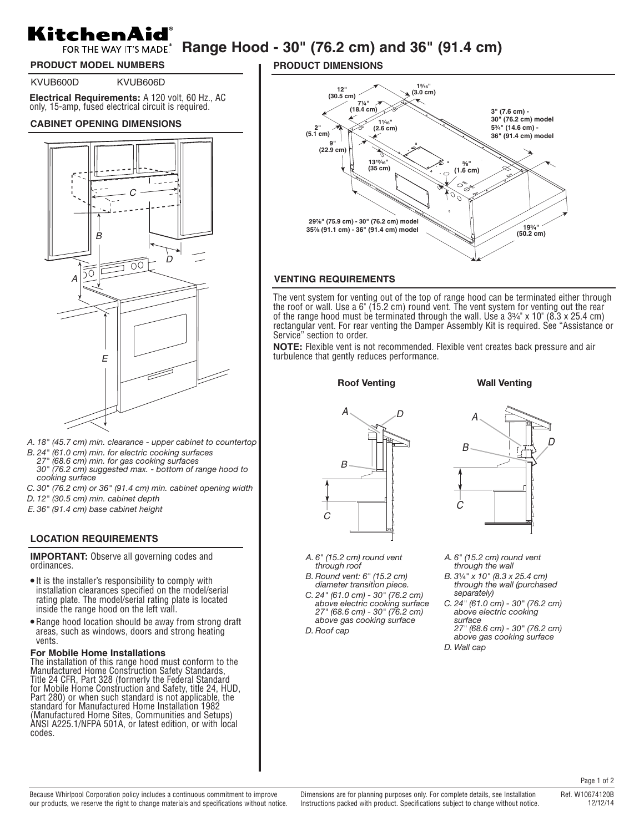# KitchenAid **FOR THE WAY IT'S MADE Range Hood - 30" (76.2 cm) and 36" (91.4 cm)**

# **PRODUCT MODEL NUMBERS**

KVUB600D KVUB606D

**Electrical Requirements:** A 120 volt, 60 Hz., AC only, 15-amp, fused electrical circuit is required.

#### **CABINET OPENING DIMENSIONS**



- *A. 18" (45.7 cm) min. clearance upper cabinet to countertop*
- *B. 24" (61.0 cm) min. for electric cooking surfaces*
- *27" (68.6 cm) min. for gas cooking surfaces*
- *30" (76.2 cm) suggested max. bottom of range hood to cooking surface*
- *C. 30" (76.2 cm) or 36" (91.4 cm) min. cabinet opening width*
- *D. 12" (30.5 cm) min. cabinet depth*
- *E. 36" (91.4 cm) base cabinet height*

## **LOCATION REQUIREMENTS**

**IMPORTANT:** Observe all governing codes and ordinances.

- It is the installer's responsibility to comply with installation clearances specified on the model/serial rating plate. The model/serial rating plate is located inside the range hood on the left wall.
- Range hood location should be away from strong draft areas, such as windows, doors and strong heating vents.

#### **For Mobile Home Installations**

The installation of this range hood must conform to the Manufactured Home Construction Safety Standards, Title 24 CFR, Part 328 (formerly the Federal Standard for Mobile Home Construction and Safety, title 24, HUD, Part 280) or when such standard is not applicable, the standard for Manufactured Home Installation 1982 (Manufactured Home Sites, Communities and Setups) ANSI A225.1/NFPA 501A, or latest edition, or with local codes.

**PRODUCT DIMENSIONS**



#### **VENTING REQUIREMENTS**

The vent system for venting out of the top of range hood can be terminated either through the roof or wall. Use a 6" (15.2 cm) round vent. The vent system for venting out the rear of the range hood must be terminated through the wall. Use a  $3\frac{3}{4}$ " x 10" (8.3 x 25.4 cm) rectangular vent. For rear venting the Damper Assembly Kit is required. See "Assistance or Service" section to order.

**NOTE:** Flexible vent is not recommended. Flexible vent creates back pressure and air turbulence that gently reduces performance.

**Roof Venting Wall Venting** 





B

*A. 6" (15.2 cm) round vent through roof*

- *B. Round vent: 6" (15.2 cm)*
- *diameter transition piece. C. 24" (61.0 cm) - 30" (76.2 cm) above electric cooking surface 27" (68.6 cm) - 30" (76.2 cm) above gas cooking surface*
- *D. Roof cap*
- *A. 6" (15.2 cm) round vent through the wall*
- *B. 3*¹⁄₄*" x 10" (8.3 x 25.4 cm) through the wall (purchased separately)*
- *C. 24" (61.0 cm) 30" (76.2 cm) above electric cooking surface 27" (68.6 cm) - 30" (76.2 cm)*
- *above gas cooking surface D. Wall cap*

Page 1 of 2